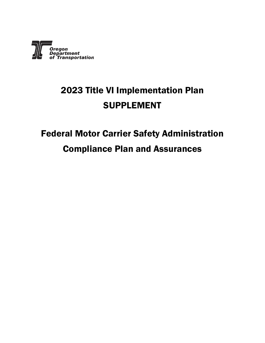

### 2023 Title VI Implementation Plan SUPPLEMENT

## Federal Motor Carrier Safety Administration Compliance Plan and Assurances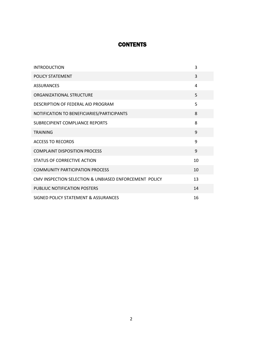### **CONTENTS**

| <b>INTRODUCTION</b>                                    | 3              |
|--------------------------------------------------------|----------------|
| POLICY STATEMENT                                       | $\overline{3}$ |
| <b>ASSURANCES</b>                                      | 4              |
| ORGANIZATIONAL STRUCTURE                               | 5              |
| DESCRIPTION OF FEDERAL AID PROGRAM                     | 5              |
| NOTIFICATION TO BENEFICIARIES/PARTICIPANTS             | 8              |
| SUBRECIPIENT COMPLIANCE REPORTS                        | 8              |
| <b>TRAINING</b>                                        | 9              |
| <b>ACCESS TO RECORDS</b>                               | 9              |
| <b>COMPLAINT DISPOSITION PROCESS</b>                   | 9              |
| <b>STATUS OF CORRECTIVE ACTION</b>                     | 10             |
| <b>COMMUNITY PARTICIPATION PROCESS</b>                 | 10             |
| CMV INSPECTION SELECTION & UNBIASED ENFORCEMENT POLICY | 13             |
| PUBLIUC NOTIFICATION POSTERS                           | 14             |
| SIGNED POLICY STATEMENT & ASSURANCES                   | 16             |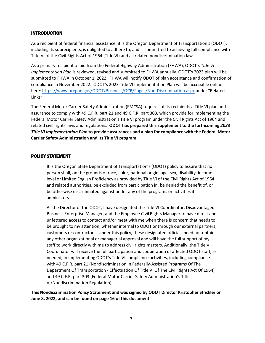### INTRODUCTION

As a recipient of federal financial assistance, it is the Oregon Department of Transportation's (ODOT), including its subrecipients, is obligated to adhere to, and is committed to achieving full compliance with Title VI of the Civil Rights Act of 1964 (Title VI) and all related nondiscrimination laws.

As a primary recipient of aid from the Federal Highway Administration (FHWA), ODOT's *Title VI Implementation Plan* is reviewed, revised and submitted to FHWA annually. ODOT's 2023 plan will be submitted to FHWA in October 1, 2022. FHWA will notify ODOT of plan acceptance and confirmation of compliance in November 2022. ODOT's 2023 Title VI Implementation Plan will be accessible online here: <https://www.oregon.gov/ODOT/Business/OCR/Pages/Non-Discrimination.aspx> under "Related Links"

The Federal Motor Carrier Safety Administration (FMCSA) requires of its recipients a Title VI plan and assurance to comply with 49 C.F.R. part 21 and 49 C.F.R. part 303, which provide for implementing the Federal Motor Carrier Safety Administration's Title VI program under the Civil Rights Act of 1964 and related civil rights laws and regulations. **ODOT has prepared this supplement to the forthcoming** *2023 Title VI Implementation Plan* **to provide assurances and a plan for compliance with the Federal Motor Carrier Safety Administration and its Title VI program.**

#### POLICY STATEMENT

It is the Oregon State Department of Transportation's (ODOT) policy to assure that no person shall, on the grounds of race, color, national origin, age, sex, disability, income level or Limited English Proficiency as provided by Title VI of the Civil Rights Act of 1964 and related authorities, be excluded from participation in, be denied the benefit of, or be otherwise discriminated against under any of the programs or activities it administers.

As the Director of the ODOT, I have designated the Title VI Coordinator, Disadvantaged Business Enterprise Manager, and the Employee Civil Rights Manager to have direct and unfettered access to contact and/or meet with me when there is concern that needs to be brought to my attention, whether internal to ODOT or through our external partners, customers or contractors. Under this policy, these designated officials need not obtain any other organizational or managerial approval and will have the full support of my staff to work directly with me to address civil rights matters. Additionally, the Title VI Coordinator will receive the full participation and cooperation of affected ODOT staff, as needed, in implementing ODOT's Title VI compliance activities, including compliance with 49 C.F.R. part 21 (Nondiscrimination In Federally-Assisted Programs Of The Department Of Transportation - Effectuation Of Title VI Of The Civil Rights Act Of 1964) and 49 C.F.R. part 303 (Federal Motor Carrier Safety Administration's Title VI/Nondiscrimination Regulation).

**This Nondiscrimination Policy Statement and was signed by ODOT Director Kristopher Strickler on June 8, 2022, and can be found on page 16 of this document.**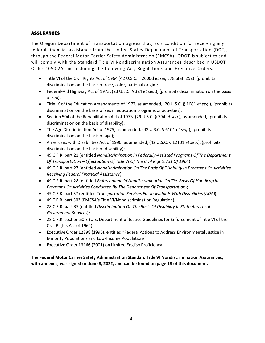### **ASSURANCES**

The Oregon Department of Transportation agrees that, as a condition for receiving any federal financial assistance from the United States Department of Transportation (DOT), through the Federal Motor Carrier Safety Administration (FMCSA), ODOT is subject to and will comply with the Standard Title VI Nondiscrimination Assurances described in USDOT Order 1050.2A and including the following Act, Regulations and Executive Orders:

- Title VI of the Civil Rights Act of 1964 (42 U.S.C. § 2000d *et seq*., 78 Stat. 252), (prohibits discrimination on the basis of race, color, national origin);
- Federal-Aid Highway Act of 1973, (23 U.S.C. § 324 *et seq*.), (prohibits discrimination on the basis of sex);
- Title IX of the Education Amendments of 1972, as amended, (20 U.S.C. § 1681 *et seq*.), (prohibits discrimination on the basis of sex in education programs or activities);
- Section 504 of the Rehabilitation Act of 1973, (29 U.S.C. § 794 *et seq*.), as amended, (prohibits discrimination on the basis of disability);
- The Age Discrimination Act of 1975, as amended, (42 U.S.C. § 6101 *et seq*.), (prohibits discrimination on the basis of age);
- Americans with Disabilities Act of 1990, as amended, (42 U.S.C. § 12101 *et seq*.), (prohibits discrimination on the basis of disability);
- 49 C.F.R. part 21 (entitled *Nondiscrimination In Federally-Assisted Programs Of The Department Of Transportation—Effectuation Of Title VI Of The Civil Rights Act Of 1964*);
- 49 C.F.R. part 27 (entitled *Nondiscrimination On The Basis Of Disability In Programs Or Activities Receiving Federal Financial Assistance*);
- 49 C.F.R. part 28 (entitled *Enforcement Of Nondiscrimination On The Basis Of Handicap In Programs Or Activities Conducted By The Department Of Transportation*);
- 49 C.F.R. part 37 (entitled *Transportation Services For Individuals With Disabilities(ADA)*);
- 49 C.F.R. part 303 (FMCSA's Title VI/Nondiscrimination Regulation);
- 28 C.F.R. part 35 (entitled *Discrimination On The Basis Of Disability In State And Local Government Services*);
- 28 C.F.R. section 50.3 (U.S. Department of Justice Guidelines for Enforcement of Title VI of the Civil Rights Act of 1964);
- Executive Order 12898 (1995), entitled "Federal Actions to Address Environmental Justice in Minority Populations and Low-Income Populations"
- Executive Order 13166 (2001) on Limited English Proficiency

**The Federal Motor Carrier Safety Administration Standard Title VI Nondiscrimination Assurances, with annexes, was signed on June 8, 2022, and can be found on page 18 of this document.**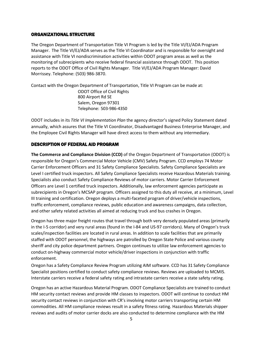### ORGANIZATIONAL STRUCTURE

The Oregon Department of Transportation Title VI Program is led by the Title VI/EJ/ADA Program Manager. The Title VI/EJ/ADA serves as the Title VI Coordinator and is responsible for oversight and assistance with Title VI nondiscrimination activities within ODOT program areas as well as the monitoring of subrecipients who receive federal financial assistance through ODOT. This position reports to the ODOT Office of Civil Rights Manager. Title VI/EJ/ADA Program Manager: David Morrissey. Telephone: (503) 986-3870.

Contact with the Oregon Department of Transportation, Title VI Program can be made at: ODOT Office of Civil Rights 800 Airport Rd SE Salem, Oregon 97301 Telephone: 503-986-4350

ODOT includes in its *Title VI Implementation Plan* the agency director's signed Policy Statement dated annually, which assures that the Title VI Coordinator, Disadvantaged Business Enterprise Manager, and the Employee Civil Rights Manager will have direct access to them without any intermediary.

### DESCRIPTION OF FEDERAL AID PROGRAM

**The Commerce and Compliance Division (CCD)** of the Oregon Department of Transportation (ODOT) is responsible for Oregon's Commercial Motor Vehicle (CMV) Safety Program. CCD employs 74 Motor Carrier Enforcement Officers and 31 Safety Compliance Specialists. Safety Compliance Specialists are Level I certified truck inspectors. All Safety Compliance Specialists receive Hazardous Materials training. Specialists also conduct Safety Compliance Reviews of motor carriers. Motor Carrier Enforcement Officers are Level 1 certified truck inspectors. Additionally, law enforcement agencies participate as subrecipients in Oregon's MCSAP program. Officers assigned to this duty all receive, at a minimum, Level III training and certification. Oregon deploys a multi-faceted program of driver/vehicle inspections, traffic enforcement, compliance reviews, public education and awareness campaigns, data collection, and other safety related activities all aimed at reducing truck and bus crashes in Oregon.

Oregon has three major freight routes that travel through both very densely populated areas (primarily in the I-5 corridor) and very rural areas (found in the I-84 and US-97 corridors). Many of Oregon's truck scales/inspection facilities are located in rural areas. In addition to scale facilities that are primarily staffed with ODOT personnel, the highways are patrolled by Oregon State Police and various county sheriff and city police department partners. Oregon continues to utilize law enforcement agencies to conduct on-highway commercial motor vehicle/driver inspections in conjunction with traffic enforcement.

Oregon has a Safety Compliance Review Program utilizing AIM software. CCD has 31 Safety Compliance Specialist positions certified to conduct safety compliance reviews. Reviews are uploaded to MCMIS. Interstate carriers receive a federal safety rating and intrastate carriers receive a state safety rating.

Oregon has an active Hazardous Material Program. ODOT Compliance Specialists are trained to conduct HM security contact reviews and provide HM classes to inspectors. ODOT will continue to conduct HM security contact reviews in conjunction with CR's involving motor carriers transporting certain HM commodities. All HM compliance reviews result in a safety fitness rating. Hazardous Materials shipper reviews and audits of motor carrier docks are also conducted to determine compliance with the HM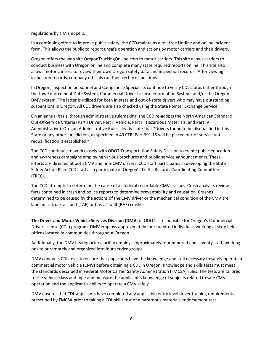regulations by HM shippers.

In a continuing effort to improve public safety, the CCD maintains a toll-free Hotline and online incident form. This allows the public to report unsafe operation and actions by motor carriers and their drivers.

Oregon offers the web site OregonTruckingOnLine.com to motor carriers. This site allows carriers to conduct business with Oregon online and complete many state required reports online. This site also allows motor carriers to review their own Oregon safety data and inspection records. After viewing inspection records, company officials can then certify inspections.

In Oregon, inspection personnel and Compliance Specialists continue to verify CDL status either through the Law Enforcement Data System, Commercial Driver License Information System, and/or the Oregon DMV system. The latter is utilized for both in-state and out-of-state drivers who may have outstanding suspensions in Oregon. All CDL drivers are also checked using the State Pointer Exchange Service.

On an annual basis, through administrative rulemaking, the CCD re-adopts the North American Standard Out-Of-Service Criteria (Part I Driver, Part II Vehicle, Part III Hazardous Materials, and Part IV Administrative). Oregon Administrative Rules clearly state that "Drivers found to be disqualified in this State or any other jurisdiction, as specified in 49 CFR, Part 391.15 will be placed out-of-service until requalification is established."

The CCD continues to work closely with ODOT Transportation Safety Division to create public education and awareness campaigns employing various brochures and public service announcements. These efforts are directed at both CMV and non-CMV drivers. CCD staff participates in developing the State Safety Action Plan. CCD staff also participate in Oregon's Traffic Records Coordinating Committee (TRCC).

The CCD attempts to determine the cause of all federal recordable CMV crashes. Crash analysts review facts contained in crash and police reports to determine preventability and causation. Crashes determined to be caused by the actions of the CMV driver or the mechanical condition of the CMV are labeled as truck-at-fault (TAF) or bus-at-fault (BAF) crashes.

**The Driver and Motor Vehicle Services Division (DMV**) of ODOT is responsible for Oregon's Commercial Driver License (CDL) program. DMV employs approximately four hundred individuals working at sixty field offices located in communities throughout Oregon.

Additionally, the DMV headquarters facility employs approximately four hundred and seventy staff, working onsite or remotely and organized into four service groups.

DMV conducts CDL tests to ensure that applicants have the knowledge and skill necessary to safely operate a commercial motor vehicle (CMV) before obtaining a CDL in Oregon. Knowledge and skills tests must meet the standards described in Federal Motor Carrier Safety Administration (FMCSA) rules. The tests are tailored to the vehicle class and type and measure the applicant's knowledge of subjects related to safe CMV operation and the applicant's ability to operate a CMV safely.

DMV ensures that CDL applicants have completed any applicable entry level driver training requirements prescribed by FMCSA prior to taking a CDL skills test or a hazardous materials endorsement test.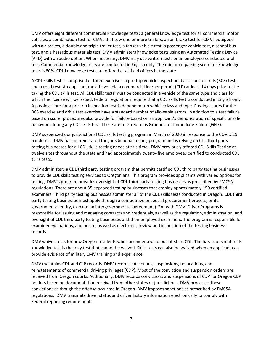DMV offers eight different commercial knowledge tests; a general knowledge test for all commercial motor vehicles, a combination test for CMVs that tow one or more trailers, an air brake test for CMVs equipped with air brakes, a double and triple trailer test, a tanker vehicle test, a passenger vehicle test, a school bus test, and a hazardous materials test. DMV administers knowledge tests using an Automated Testing Device (ATD) with an audio option. When necessary, DMV may use written tests or an employee-conducted oral test. Commercial knowledge tests are conducted in English only. The minimum passing score for knowledge tests is 80%. CDL knowledge tests are offered at all field offices in the state.

A CDL skills test is comprised of three exercises: a pre-trip vehicle inspection, basic control skills (BCS) test, and a road test. An applicant must have held a commercial learner permit (CLP) at least 14 days prior to the taking the CDL skills test. All CDL skills tests must be conducted in a vehicle of the same type and class for which the license will be issued. Federal regulations require that a CDL skills test is conducted in English only. A passing score for a pre-trip inspection test is dependent on vehicle class and type. Passing scores for the BCS exercise and drive test exercise have a standard number of allowable errors. In addition to a test failure based on score, procedures also provide for failure based on an applicant's demonstration of specific unsafe behaviors during any CDL skills test. These are referred to as Grounds for Immediate Failure (GFIF).

DMV suspended our jurisdictional CDL skills testing program in March of 2020 in response to the COVID 19 pandemic. DMV has not reinstated the jurisdictional testing program and is relying on CDL third party testing businesses for all CDL skills testing needs at this time. DMV previously offered CDL Skills Testing at twelve sites throughout the state and had approximately twenty-five employees certified to conducted CDL skills tests.

DMV administers a CDL third party testing program that permits certified CDL third party testing businesses to provide CDL skills testing services to Oregonians. This program provides applicants with varied options for testing. DMV's program provides oversight of CDL third party testing businesses as prescribed by FMCSA regulations. There are about 35 approved testing businesses that employ approximately 150 certified examiners. Third party testing businesses administer all of the CDL skills tests conducted in Oregon. CDL third party testing businesses must apply through a competitive or special procurement process, or if a governmental entity, execute an intergovernmental agreement (IGA) with DMV. Driver Programs is responsible for issuing and managing contracts and credentials, as well as the regulation, administration, and oversight of CDL third party testing businesses and their employed examiners. The program is responsible for examiner evaluations, and onsite, as well as electronic, review and inspection of the testing business records.

DMV waives tests for new Oregon residents who surrender a valid out-of-state CDL. The hazardous materials knowledge test is the only test that cannot be waived. Skills tests can also be waived when an applicant can provide evidence of military CMV training and experience.

DMV maintains CDL and CLP records. DMV records convictions, suspensions, revocations, and reinstatements of commercial driving privileges (CDP). Most of the conviction and suspension orders are received from Oregon courts. Additionally, DMV records convictions and suspensions of CDP for Oregon CDP holders based on documentation received from other states or jurisdictions. DMV processes these convictions as though the offense occurred in Oregon. DMV imposes sanctions as prescribed by FMCSA regulations. DMV transmits driver status and driver history information electronically to comply with Federal reporting requirements.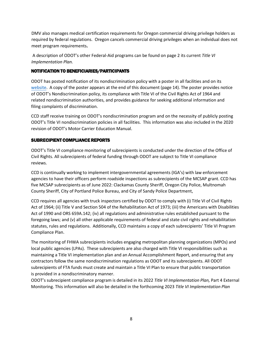DMV also manages medical certification requirements for Oregon commercial driving privilege holders as required by federal regulations. Oregon cancels commercial driving privileges when an individual does not meet program requirements**.** 

A description of ODOT's other Federal-Aid programs can be found on page 2 its current *Title VI Implementation Plan.*

### NOTIFICATION TO BENEFICIARIES/PARTICIPANTS

ODOT has posted notification of its nondiscrimination policy with a poster in all facilities and on its [website.](https://www.oregon.gov/ODOT/Business/OCR/Pages/Non-Discrimination.aspx) A copy of the poster appears at the end of this document (page 14). The poster provides notice of ODOT's Nondiscrimination policy, its compliance with Title VI of the Civil Rights Act of 1964 and related nondiscrimination authorities, and provides guidance for seeking additional information and filing complaints of discrimination.

CCD staff receive training on ODOT's nondiscrimination program and on the necessity of publicly posting ODOT's Title VI nondiscrimination policies in all facilities. This information was also included in the 2020 revision of ODOT's Motor Carrier Education Manual.

### SUBRECIPIENT COMPLIANCE REPORTS

ODOT's Title VI compliance monitoring of subrecipients is conducted under the direction of the Office of Civil Rights. All subrecipients of federal funding through ODOT are subject to Title VI compliance reviews.

CCD is continually working to implement intergovernmental agreements (IGA's) with law enforcement agencies to have their officers perform roadside inspections as subrecipients of the MCSAP grant. CCD has five MCSAP subrecipients as of June 2022: Clackamas County Sheriff, Oregon City Police, Multnomah County Sheriff, City of Portland Police Bureau, and City of Sandy Police Department,

CCD requires all agencies with truck inspectors certified by ODOT to comply with (i) Title VI of Civil Rights Act of 1964; (ii) Title V and Section 504 of the Rehabilitation Act of 1973; (iii) the Americans with Disabilities Act of 1990 and ORS 659A.142; (iv) all regulations and administrative rules established pursuant to the foregoing laws; and (v) all other applicable requirements of federal and state civil rights and rehabilitation statutes, rules and regulations. Additionally, CCD maintains a copy of each subrecipients' Title VI Program Compliance Plan.

The monitoring of FHWA subrecipients includes engaging metropolitan planning organizations (MPOs) and local public agencies (LPAs). These subrecipients are also charged with Title VI responsibilities such as maintaining a Title VI implementation plan and an Annual Accomplishment Report, and ensuring that any contractors follow the same nondiscrimination regulations as ODOT and its subrecipients. All ODOT subrecipients of FTA funds must create and maintain a Title VI Plan to ensure that public transportation is provided in a nondiscriminatory manner.

ODOT's subrecipient compliance program is detailed in its 2022 *Title VI Implementation Plan,* Part 4 External Monitoring. This information will also be detailed in the forthcoming 2023 *Title VI Implementation Plan*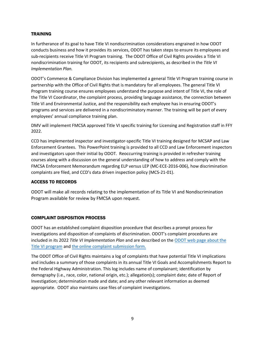### **TRAINING**

In furtherance of its goal to have Title VI nondiscrimination considerations engrained in how ODOT conducts business and how it provides its services, ODOT has taken steps to ensure its employees and sub-recipients receive Title VI Program training. The ODOT Office of Civil Rights provides a Title VI nondiscrimination training for ODOT, its recipients and subrecipients, as described in the *Title VI Implementation Plan.*

ODOT's Commerce & Compliance Division has implemented a general Title VI Program training course in partnership with the Office of Civil Rights that is mandatory for all employees. The general Title VI Program training course ensures employees understand the purpose and intent of Title VI, the role of the Title VI Coordinator, the complaint process, providing language assistance, the connection between Title VI and Environmental Justice, and the responsibility each employee has in ensuring ODOT's programs and services are delivered in a nondiscriminatory manner. The training will be part of every employees' annual compliance training plan.

DMV will implement FMCSA approved Title VI specific training for Licensing and Registration staff in FFY 2022.

CCD has implemented inspector and investigator-specific Title VI training designed for MCSAP and Law Enforcement Grantees. This PowerPoint training is provided to all CCD and Law Enforcement inspectors and investigators upon their initial by ODOT. Reoccurring training is provided in refresher training courses along with a discussion on the general understanding of how to address and comply with the FMCSA Enforcement Memorandum regarding ELP versus LEP (MC-ECE-2016-006), how discrimination complaints are filed, and CCD's data driven inspection policy (MCS-21-01).

### ACCESS TO RECORDS

ODOT will make all records relating to the implementation of its Title VI and Nondiscrimination Program available for review by FMCSA upon request.

### COMPLAINT DISPOSITION PROCESS

ODOT has an established complaint disposition procedure that describes a prompt process for investigations and disposition of complaints of discrimination. ODOT's complaint procedures are included in its 2022 *Title VI Implementation Plan* and are described on the ODOT web page about the Title VI program and the online complaint submission form.

The ODOT Office of Civil Rights maintains a log of complaints that have potential Title VI implications and includes a summary of those complaints in its annual Title VI Goals a[nd Accomplishments Report](https://www.oregon.gov/ODOT/Business/OCR/Pages/Non-Discrimination.aspx) to [the Federal](https://www.oregon.gov/ODOT/Business/OCR/Pages/Non-Discrimination.aspx) Highway [Administration. This log includes name](https://www.oregon.gov/odot/Business/OCR/Pages/DIS_CMPLNT_FRM.aspx) of complainant; identification by demography (i.e., race, color, national origin, etc.); allegation(s); complaint date; date of Report of Investigation; determination made and date; and any other relevant information as deemed appropriate. ODOT also maintains case files of complaint investigations.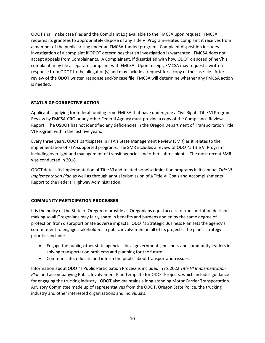ODOT shall make case files and the Complaint Log available to the FMCSA upon request. FMCSA requires its grantees to appropriately dispose of any Title VI Program-related complaint it receives from a member of the public arising under an FMCSA-funded program. Complaint disposition includes investigation of a complaint if ODOT determines that an investigation is warranted. FMCSA does not accept appeals from Complainants. A Complainant, if dissatisfied with how ODOT disposed of her/his complaint, may file a separate complaint with FMCSA. Upon receipt, FMCSA may request a written response from ODOT to the allegation(s) and may include a request for a copy of the case file. After review of the ODOT written response and/or case file, FMCSA will determine whether any FMCSA action is needed.

### STATUS OF CORRECTIVE ACTION

Applicants applying for federal funding from FMCSA that have undergone a Civil Rights Title VI Program Review by FMCSA-CRO or any other Federal Agency must provide a copy of the Compliance Review Report. The USDOT has not identified any deficiencies in the Oregon Department of Transportation Title VI Program within the last five years.

Every three years, ODOT participates in FTA's State Management Review (SMR) as it relates to the implementation of FTA-supported programs. The SMR includes a review of ODOT's Title VI Program, including oversight and management of transit agencies and other subrecipients. The most recent SMR was conducted in 2018.

ODOT details its implementation of Title VI and related nondiscrimination programs in its annual *Title VI Implementation Plan* as well as through annual submission of a Title VI Goals and Accomplishments Report to the Federal Highway Administration.

### COMMUNITY PARTICIPATION PROCESSES

It is the policy of the State of Oregon to provide all Oregonians equal access to transportation decisionmaking so all Oregonians may fairly share in benefits and burdens and enjoy the same degree of protection from disproportionate adverse impacts. ODOT's Strategic Business Plan sets the agency's commitment to engage stakeholders in public involvement in all of its projects. The plan's strategy priorities include:

- Engage the public, other state agencies, local governments, business and community leaders in solving transportation problems and planning for the future.
- Communicate, educate and inform the public about transportation issues.

Information about ODOT's Public Participation Process is included in its 2022 *Title VI Implementation Plan* and accompanying Public Involvement Plan Template for ODOT Projects, which includes guidance for engaging the trucking industry. ODOT also maintains a long-standing Motor Carrier Transportation Advisory Committee made up of representatives from the ODOT, Oregon State Police, the trucking industry and other interested organizations and individuals.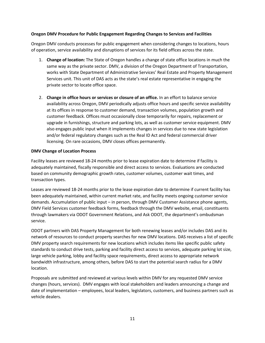### **Oregon DMV Procedure for Public Engagement Regarding Changes to Services and Facilities**

Oregon DMV conducts processes for public engagement when considering changes to locations, hours of operation, service availability and disruptions of services for its field offices across the state.

- 1. **Change of location:** The State of Oregon handles a change of state office locations in much the same way as the private sector. DMV, a division of the Oregon Department of Transportation, works with State Department of Administrative Services' Real Estate and Property Management Services unit. This unit of DAS acts as the state's real estate representative in engaging the private sector to locate office space.
- 2. **Change in office hours or services or closure of an office.** In an effort to balance service availability across Oregon, DMV periodically adjusts office hours and specific service availability at its offices in response to customer demand, transaction volumes, population growth and customer feedback. Offices must occasionally close temporarily for repairs, replacement or upgrade in furnishings, structure and parking lots, as well as customer service equipment. DMV also engages public input when it implements changes in services due to new state legislation and/or federal regulatory changes such as the Real ID Act and federal commercial driver licensing. On rare occasions, DMV closes offices permanently.

### **DMV Change of Location Process**

Facility leases are reviewed 18-24 months prior to lease expiration date to determine if facility is adequately maintained, fiscally responsible and direct access to services. Evaluations are conducted based on community demographic growth rates, customer volumes, customer wait times, and transaction types.

Leases are reviewed 18-24 months prior to the lease expiration date to determine if current facility has been adequately maintained, within current market rate, and facility meets ongoing customer service demands. Accumulation of public input – in person, through DMV Customer Assistance phone agents, DMV Field Services customer feedback forms, feedback through the DMV website, email, constituents through lawmakers via ODOT Government Relations, and Ask ODOT, the department's ombudsman service.

ODOT partners with DAS Property Management for both renewing leases and/or includes DAS and its network of resources to conduct property searches for new DMV locations. DAS receives a list of specific DMV property search requirements for new locations which includes items like specific public safety standards to conduct drive tests, parking and facility direct access to services, adequate parking lot size, large vehicle parking, lobby and facility space requirements, direct access to appropriate network bandwidth infrastructure, among others, before DAS to start the potential search radius for a DMV location.

Proposals are submitted and reviewed at various levels within DMV for any requested DMV service changes (hours, services). DMV engages with local stakeholders and leaders announcing a change and date of implementation – employees, local leaders, legislators, customers, and business partners such as vehicle dealers.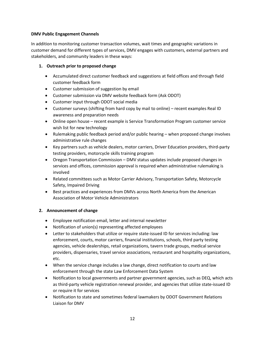### **DMV Public Engagement Channels**

In addition to monitoring customer transaction volumes, wait times and geographic variations in customer demand for different types of services, DMV engages with customers, external partners and stakeholders, and community leaders in these ways:

### **1. Outreach prior to proposed change**

- Accumulated direct customer feedback and suggestions at field offices and through field customer feedback form
- Customer submission of suggestion by email
- Customer submission via DMV website feedback form (Ask ODOT)
- Customer input through ODOT social media
- Customer surveys (shifting from hard copy by mail to online) recent examples Real ID awareness and preparation needs
- Online open house recent example is Service Transformation Program customer service wish list for new technology
- Rulemaking public feedback period and/or public hearing when proposed change involves administrative rule changes
- Key partners such as vehicle dealers, motor carriers, Driver Education providers, third-party testing providers, motorcycle skills training program
- Oregon Transportation Commission DMV status updates include proposed changes in services and offices, commission approval is required when administrative rulemaking is involved
- Related committees such as Motor Carrier Advisory, Transportation Safety, Motorcycle Safety, Impaired Driving
- Best practices and experiences from DMVs across North America from the American Association of Motor Vehicle Administrators

### **2. Announcement of change**

- Employee notification email, letter and internal newsletter
- Notification of union(s) representing affected employees
- Letter to stakeholders that utilize or require state-issued ID for services including: law enforcement, courts, motor carriers, financial institutions, schools, third party testing agencies, vehicle dealerships, retail organizations, tavern trade groups, medical service providers, dispensaries, travel service associations, restaurant and hospitality organizations, etc.
- When the service change includes a law change, direct notification to courts and law enforcement through the state Law Enforcement Data System
- Notification to local governments and partner government agencies, such as DEQ, which acts as third-party vehicle registration renewal provider, and agencies that utilize state-issued ID or require it for services
- Notification to state and sometimes federal lawmakers by ODOT Government Relations Liaison for DMV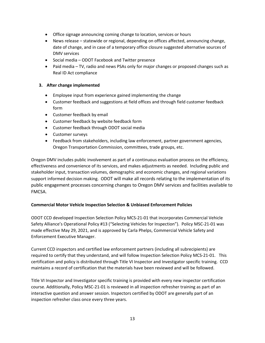- Office signage announcing coming change to location, services or hours
- News release statewide or regional, depending on offices affected, announcing change, date of change, and in case of a temporary office closure suggested alternative sources of DMV services
- Social media ODOT Facebook and Twitter presence
- Paid media TV, radio and news PSAs only for major changes or proposed changes such as Real ID Act compliance

### **3. After change implemented**

- Employee input from experience gained implementing the change
- Customer feedback and suggestions at field offices and through field customer feedback form
- Customer feedback by email
- Customer feedback by website feedback form
- Customer feedback through ODOT social media
- Customer surveys
- Feedback from stakeholders, including law enforcement, partner government agencies, Oregon Transportation Commission, committees, trade groups, etc.

Oregon DMV includes public involvement as part of a continuous evaluation process on the efficiency, effectiveness and convenience of its services, and makes adjustments as needed. Including public and stakeholder input, transaction volumes, demographic and economic changes, and regional variations support informed decision making. ODOT will make all records relating to the implementation of its public engagement processes concerning changes to Oregon DMV services and facilities available to FMCSA.

### **Commercial Motor Vehicle Inspection Selection & Unbiased Enforcement Policies**

ODOT CCD developed Inspection Selection Policy MCS-21-01 that incorporates Commercial Vehicle Safety Alliance's Operational Policy #13 ("Selecting Vehicles for Inspection"). Policy MSC-21-01 was made effective May 29, 2021, and is approved by Carla Phelps, Commercial Vehicle Safety and Enforcement Executive Manager.

Current CCD inspectors and certified law enforcement partners (including all subrecipients) are required to certify that they understand, and will follow Inspection Selection Policy MCS-21-01. This certification and policy is distributed through Title VI Inspector and Investigator specific training. CCD maintains a record of certification that the materials have been reviewed and will be followed.

Title VI Inspector and Investigator specific training is provided with every new inspector certification course. Additionally, Policy MSC-21-01 is reviewed in all inspection refresher training as part of an interactive question and answer session. Inspectors certified by ODOT are generally part of an inspection refresher class once every three years.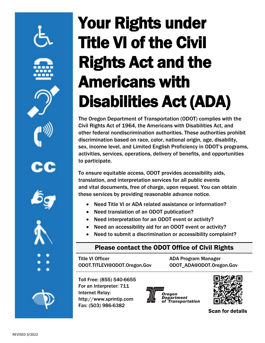# **Your Rights under Title VI of the Civil Rights Act and the Americans with Disabilities Act (ADA)**

The Oregon Department of Transportation (ODOT) complies with the Civil Rights Act of 1964, the Americans with Disabilities Act, and other federal nondiscrimination authorities. These authorities prohibit discrimination based on race, color, national origin, age, disability, sex, income level, and Limited English Proficiency in ODOT's programs, activities, services, operations, delivery of benefits, and opportunities to participate.

To ensure equitable access, ODOT provides accessibility aids, translation, and interpretation services for all public events and vital documents, free of charge, upon request. You can obtain these services by providing reasonable advance notice.

- Need Title VI or ADA related assistance or information?
- Need translation of an ODOT publication?
- Need interpretation for an ODOT event or activity?
- Need an accessibility aid for an ODOT event or activity?
- Need to submit a discrimination or accessibility complaint?

### Please contact the ODOT Office of Civil Rights

Title VI Officer ODOT.TITLEVI@ODOT.Oregon.Gov ADA Program Manager ODOT\_ADA@ODOT.Oregon.Gov

Toll Free: (855) 540-6655 For an Interpreter: 711 Internet Relay: http://www.sprintip.com Fax: (503) 986-6382





Scan for details

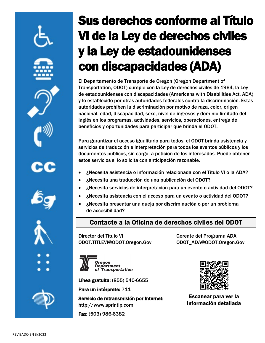# Sus derechos conforme al Título VI de la Ley de derechos civiles y la Ley de estadounidenses con discapacidades (ADA)

El Departamento de Transporte de Oregon (Oregon Department of Transportation, ODOT) cumple con la Ley de derechos civiles de 1964, la Ley de estadounidenses con discapacidades (Americans with Disabilities Act, ADA) y lo establecido por otras autoridades federales contra la discriminación. Estas autoridades prohíben la discriminación por motivo de raza, color, origen nacional, edad, discapacidad, sexo, nivel de ingresos y dominio limitado del inglés en los programas, actividades, servicios, operaciones, entrega de beneficios y oportunidades para participar que brinda el ODOT.

Para garantizar el acceso igualitario para todos, el ODOT brinda asistencia y servicios de traducción e interpretación para todos los eventos públicos y los documentos públicos, sin cargo, a petición de los interesados. Puede obtener estos servicios si lo solicita con anticipación razonable.

- ¿Necesita asistencia o información relacionada con el Título VI o la ADA?
- ¿Necesita una traducción de una publicación del ODOT?
- ¿Necesita servicios de interpretación para un evento o actividad del ODOT?
- ¿Necesita asistencia con el acceso para un evento o actividad del ODOT?
- ¿Necesita presentar una queja por discriminación o por un problema de accesibilidad?

### Contacte a la Oficina de derechos civiles del ODOT

Director del Título VI ODOT.TITLEVI@ODOT.Oregon.Gov Gerente del Programa ADA ODOT\_ADA@ODOT.Oregon.Gov



Línea gratuita: (855) 540-6655

Para un intérprete: 711

Servicio de retransmisión por Internet: http://www.sprintip.com

Fax: (503) 986-6382



Escanear para ver la información detallada

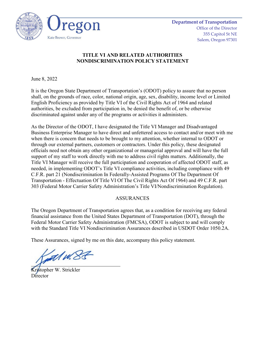

### **TITLE VI AND RELATED AUTHORITIES NONDISCRIMINATION POLICY STATEMENT**

June 8, 2022

It is the Oregon State Department of Transportation's (ODOT) policy to assure that no person shall, on the grounds of race, color, national origin, age, sex, disability, income level or Limited English Proficiency as provided by Title VI of the Civil Rights Act of 1964 and related authorities, be excluded from participation in, be denied the benefit of, or be otherwise discriminated against under any of the programs or activities it administers.

As the Director of the ODOT, I have designated the Title VI Manager and Disadvantaged Business Enterprise Manager to have direct and unfettered access to contact and/or meet with me when there is concern that needs to be brought to my attention, whether internal to ODOT or through our external partners, customers or contractors. Under this policy, these designated officials need not obtain any other organizational or managerial approval and will have the full support of my staff to work directly with me to address civil rights matters. Additionally, the Title VI Manager will receive the full participation and cooperation of affected ODOT staff, as needed, in implementing ODOT's Title VI compliance activities, including compliance with 49 C.F.R. part 21 (Nondiscrimination In Federally-Assisted Programs Of The Department Of Transportation - Effectuation Of Title VI Of The Civil Rights Act Of 1964) and 49 C.F.R. part 303 (Federal Motor Carrier Safety Administration's Title VI/Nondiscrimination Regulation).

### ASSURANCES

The Oregon Department of Transportation agrees that, as a condition for receiving any federal financial assistance from the United States Department of Transportation (DOT), through the Federal Motor Carrier Safety Administration (FMCSA), ODOT is subject to and will comply with the Standard Title VI Nondiscrimination Assurances described in USDOT Order 1050.2A.

These Assurances, signed by me on this date, accompany this policy statement.

at 1 w.82

Kristopher W. Strickler Director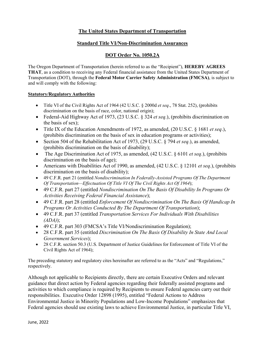### **The United States Department of Transportation**

### **Standard Title VI/Non-Discrimination Assurances**

### **DOT Order No. 1050.2A**

The Oregon Department of Transportation (herein referred to as the "Recipient"), **HEREBY AGREES THAT**, as a condition to receiving any Federal financial assistance from the United States Department of Transportation (DOT), through the **Federal Motor Carrier Safety Administration (FMCSA)**, is subject to and will comply with the following:

### **Statutory/Regulatory Authorities**

- Title VI of the Civil Rights Act of 1964 (42 U.S.C. § 2000d *et seq*., 78 Stat. 252), (prohibits discrimination on the basis of race, color, national origin);
- Federal-Aid Highway Act of 1973, (23 U.S.C. § 324 *et seq*.), (prohibits discrimination on the basis of sex);
- Title IX of the Education Amendments of 1972, as amended, (20 U.S.C. § 1681 *et seq*.), (prohibits discrimination on the basis of sex in education programs or activities);
- Section 504 of the Rehabilitation Act of 1973, (29 U.S.C. § 794 *et seq*.), as amended, (prohibits discrimination on the basis of disability);
- The Age Discrimination Act of 1975, as amended, (42 U.S.C. § 6101 *et seq*.), (prohibits discrimination on the basis of age);
- Americans with Disabilities Act of 1990, as amended, (42 U.S.C. § 12101 *et seq*.), (prohibits discrimination on the basis of disability);
- 49 C.F.R. part 21 (entitled *Nondiscrimination In Federally-Assisted Programs Of The Department Of Transportation—Effectuation Of Title VI Of The Civil Rights Act Of 1964*);
- 49 C.F.R. part 27 (entitled *Nondiscrimination On The Basis Of Disability In Programs Or Activities Receiving Federal Financial Assistance*);
- 49 C.F.R. part 28 (entitled *Enforcement Of Nondiscrimination On The Basis Of Handicap In Programs Or Activities Conducted By The Department Of Transportation*);
- 49 C.F.R. part 37 (entitled *Transportation Services For Individuals With Disabilities (ADA)*);
- 49 C.F.R. part 303 (FMCSA's Title VI/Nondiscrimination Regulation);
- 28 C.F.R. part 35 (entitled *Discrimination On The Basis Of Disability In State And Local Government Services*);
- 28 C.F.R. section 50.3 (U.S. Department of Justice Guidelines for Enforcement of Title VI of the Civil Rights Act of 1964);

The preceding statutory and regulatory cites hereinafter are referred to as the "Acts" and "Regulations," respectively.

Although not applicable to Recipients directly, there are certain Executive Orders and relevant guidance that direct action by Federal agencies regarding their federally assisted programs and activities to which compliance is required by Recipients to ensure Federal agencies carry out their responsibilities. Executive Order 12898 (1995), entitled "Federal Actions to Address Environmental Justice in Minority Populations and Low-Income Populations" emphasizes that Federal agencies should use existing laws to achieve Environmental Justice, in particular Title VI,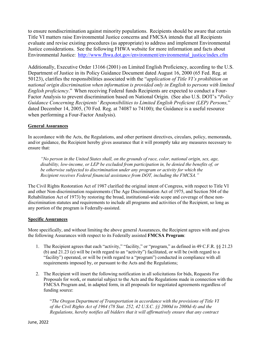to ensure nondiscrimination against minority populations. Recipients should be aware that certain Title VI matters raise Environmental Justice concerns and FMCSA intends that all Recipients evaluate and revise existing procedures (as appropriate) to address and implement Environmental Justice considerations. See the following FHWA website for more information and facts about Environmental Justice: http://www.fhwa.dot.gov/environment/environmental justice/index.cfm

Additionally, Executive Order 13166 (2001) on Limited English Proficiency, according to the U.S. Department of Justice in its Policy Guidance Document dated August 16, 2000 (65 Fed. Reg. at 50123), clarifies the responsibilities associated with the "*application of Title VI's prohibition on national origin discrimination when information is provided only in English to persons with limited English proficiency*." When receiving Federal funds Recipients are expected to conduct a Four-Factor Analysis to prevent discrimination based on National Origin. (See also U.S. DOT's "*Policy Guidance Concerning Recipients' Responsibilities to Limited English Proficient (LEP) Persons,*" dated December 14, 2005, (70 Fed. Reg. at 74087 to 74100); the Guidance is a useful resource when performing a Four-Factor Analysis).

### **General Assurances**

In accordance with the Acts, the Regulations, and other pertinent directives, circulars, policy, memoranda, and/or guidance, the Recipient hereby gives assurance that it will promptly take any measures necessary to ensure that:

*"No person in the United States shall, on the grounds of race, color, national origin, sex, age, disability, low-income, or LEP be excluded from participation in, be denied the benefits of, or be otherwise subjected to discrimination under any program or activity for which the Recipient receives Federal financial assistance from DOT, including the FMCSA."* 

The Civil Rights Restoration Act of 1987 clarified the original intent of Congress, with respect to Title VI and other Non-discrimination requirements (The Age Discrimination Act of 1975, and Section 504 of the Rehabilitation Act of 1973) by restoring the broad, institutional-wide scope and coverage of these nondiscrimination statutes and requirements to include all programs and activities of the Recipient, so long as any portion of the program is Federally-assisted.

### **Specific Assurances**

More specifically, and without limiting the above general Assurances, the Recipient agrees with and gives the following Assurances with respect to its Federally assisted **FMCSA Program**:

- 1. The Recipient agrees that each "activity," "facility," or "program," as defined in 49 C.F.R. §§ 21.23 (b) and 21.23 (e) will be (with regard to an "activity") facilitated, or will be (with regard to a "facility") operated, or will be (with regard to a "program") conducted in compliance with all requirements imposed by, or pursuant to the Acts and the Regulations;
- 2. The Recipient will insert the following notification in all solicitations for bids, Requests For Proposals for work, or material subject to the Acts and the Regulations made in connection with the FMCSA Program and, in adapted form, in all proposals for negotiated agreements regardless of funding source:

"*The Oregon Department of Transportation in accordance with the provisions of Title VI of the Civil Rights Act of 1964 (78 Stat. 252, 42 U.S.C. §§ 2000d to 2000d-4) and the Regulations, hereby notifies all bidders that it will affirmatively ensure that any contract*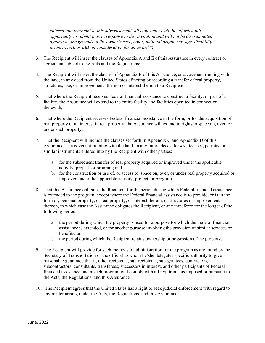*entered into pursuant to this advertisement, all contractors will be afforded full opportunity to submit bids in response to this invitation and will not be discriminated against on the grounds of the owner's race, color, national origin, sex, age, disability, income-level, or LEP in consideration for an award.*";

- 3. The Recipient will insert the clauses of Appendix A and E of this Assurance in every contract or agreement subject to the Acts and the Regulations;
- 4. The Recipient will insert the clauses of Appendix B of this Assurance, as a covenant running with the land, in any deed from the United States effecting or recording a transfer of real property, structures, use, or improvements thereon or interest therein to a Recipient;
- 5. That where the Recipient receives Federal financial assistance to construct a facility, or part of a facility, the Assurance will extend to the entire facility and facilities operated in connection therewith;
- 6. That where the Recipient receives Federal financial assistance in the form, or for the acquisition of real property or an interest in real property, the Assurance will extend to rights to space on, over, or under such property;
- 7. That the Recipient will include the clauses set forth in Appendix C and Appendix D of this Assurance, as a covenant running with the land, in any future deeds, leases, licenses, permits, or similar instruments entered into by the Recipient with other parties:
	- a. for the subsequent transfer of real property acquired or improved under the applicable activity, project, or program; and
	- b. for the construction or use of, or access to, space on, over, or under real property acquired or improved under the applicable activity, project, or program.
- 8. That this Assurance obligates the Recipient for the period during which Federal financial assistance is extended to the program, except where the Federal financial assistance is to provide, or is in the form of, personal property, or real property, or interest therein, or structures or improvements thereon, in which case the Assurance obligates the Recipient, or any transferee for the longer of the following periods:
	- a. the period during which the property is used for a purpose for which the Federal financial assistance is extended, or for another purpose involving the provision of similar services or benefits; or
	- b. the period during which the Recipient retains ownership or possession of the property.
- 9. The Recipient will provide for such methods of administration for the program as are found by the Secretary of Transportation or the official to whom he/she delegates specific authority to give reasonable guarantee that it, other recipients, sub-recipients, sub-grantees, contractors, subcontractors, consultants, transferees, successors in interest, and other participants of Federal financial assistance under such program will comply with all requirements imposed or pursuant to the Acts, the Regulations, and this Assurance.
- 10. The Recipient agrees that the United States has a right to seek judicial enforcement with regard to any matter arising under the Acts, the Regulations, and this Assurance.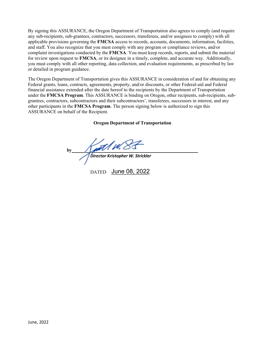By signing this ASSURANCE, the Oregon Department of Transportation also agrees to comply (and require any sub-recipients, sub-grantees, contractors, successors, transferees, and/or assignees to comply) with all applicable provisions governing the **FMCSA** access to records, accounts, documents, information, facilities, and staff. You also recognize that you must comply with any program or compliance reviews, and/or complaint investigations conducted by the **FMCSA**. You must keep records, reports, and submit the material for review upon request to **FMCSA**, or its designee in a timely, complete, and accurate way. Additionally, you must comply with all other reporting, data collection, and evaluation requirements, as prescribed by law or detailed in program guidance.

The Oregon Department of Transportation gives this ASSURANCE in consideration of and for obtaining any Federal grants, loans, contracts, agreements, property, and/or discounts, or other Federal-aid and Federal financial assistance extended after the date hereof to the recipients by the Department of Transportation under the **FMCSA Program**. This ASSURANCE is binding on Oregon, other recipients, sub-recipients, subgrantees, contractors, subcontractors and their subcontractors', transferees, successors in interest, and any other participants in the **FMCSA Program**. The person signing below is authorized to sign this ASSURANCE on behalf of the Recipient.

### **Oregon Department of Transportation**

**by** *Director Kristopher W. Strickler*

DATED June 08, 2022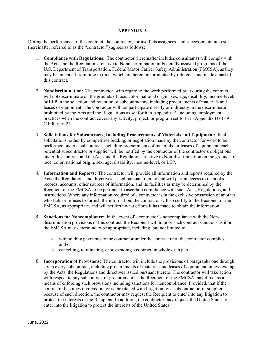### **APPENDIX A**

During the performance of this contract, the contractor, for itself, its assignees, and successors in interest (hereinafter referred to as the "contractor") agrees as follows:

- 1. **Compliance with Regulations:** The contractor (hereinafter includes consultants) will comply with the Acts and the Regulations relative to Nondiscrimination in Federally-assisted programs of the U.S. Department of Transportation, Federal Motor Carrier Safety Administration (FMCSA), as they may be amended from time to time, which are herein incorporated by reference and made a part of this contract.
- 2. **Nondiscrimination:** The contractor, with regard to the work performed by it during the contract, will not discriminate on the grounds of race, color, national origin, sex, age, disability, income-level, or LEP in the selection and retention of subcontractors, including procurements of materials and leases of equipment. The contractor will not participate directly or indirectly in the discrimination prohibited by the Acts and the Regulations as set forth in Appendix E, including employment practices when the contract covers any activity, project, or program set forth in Appendix B of 49 C.F.R. part 21.
- 3. **Solicitations for Subcontracts, Including Procurements of Materials and Equipment:** In all solicitations, either by competitive bidding, or negotiation made by the contractor for work to be performed under a subcontract, including procurements of materials, or leases of equipment, each potential subcontractor or supplier will be notified by the contractor of the contractor's obligations under this contract and the Acts and the Regulations relative to Non-discrimination on the grounds of race, color, national origin, sex, age, disability, income-level, or LEP.
- 4. **Information and Reports:** The contractor will provide all information and reports required by the Acts, the Regulations and directives issued pursuant thereto and will permit access to its books, records, accounts, other sources of information, and its facilities as may be determined by the Recipient or the FMCSA to be pertinent to ascertain compliance with such Acts, Regulations, and instructions. Where any information required of a contractor is in the exclusive possession of another who fails or refuses to furnish the information, the contractor will so certify to the Recipient or the FMCSA, as appropriate, and will set forth what efforts it has made to obtain the information.
- 5. **Sanctions for Noncompliance:** In the event of a contractor's noncompliance with the Nondiscrimination provisions of this contract, the Recipient will impose such contract sanctions as it or the FMCSA may determine to be appropriate, including, but not limited to:
	- a. withholding payments to the contractor under the contract until the contractor complies; and/or
	- b. cancelling, terminating, or suspending a contract, in whole or in part.
- 6. **Incorporation of Provisions:** The contractor will include the provisions of paragraphs one through six in every subcontract, including procurements of materials and leases of equipment, unless exempt by the Acts, the Regulations and directives issued pursuant thereto. The contractor will take action with respect to any subcontract or procurement as the Recipient or the FMCSA may direct as a means of enforcing such provisions including sanctions for noncompliance. Provided, that if the contractor becomes involved in, or is threatened with litigation by a subcontractor, or supplier because of such direction, the contractor may request the Recipient to enter into any litigation to protect the interests of the Recipient. In addition, the contractor may request the United States to enter into the litigation to protect the interests of the United States.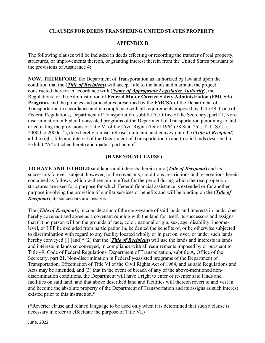### **CLAUSES FOR DEEDS TRANSFERING UNITED STATES PROPERTY**

### **APPENDIX B**

The following clauses will be included in deeds effecting or recording the transfer of real property, structures, or improvements thereon, or granting interest therein from the United States pursuant to the provisions of Assurance 4:

**NOW, THEREFORE,** the Department of Transportation as authorized by law and upon the condition that the (*Title of Recipient*) will accept title to the lands and maintain the project constructed thereon in accordance with (*Name of Appropriate Legislative Authority*), the Regulations for the Administration of **Federal Motor Carrier Safety Administration (FMCSA) Program,** and the policies and procedures prescribed by the **FMCSA** of the Department of Transportation in accordance and in compliance with all requirements imposed by Title 49, Code of Federal Regulations, Department of Transportation, subtitle A, Office of the Secretary, part 21, Nondiscrimination in Federally-assisted programs of the Department of Transportation pertaining to and effectuating the provisions of Title VI of the Civil Rights Act of 1964 (78 Stat. 252; 42 U.S.C. § 2000d to 2000d-4), does hereby remise, release, quitclaim and convey unto the (*Title of Recipient*) all the right, title and interest of the Department of Transportation in and to said lands described in Exhibit "A" attached hereto and made a part hereof.

### **(HABENDUM CLAUSE)**

**TO HAVE AND TO HOLD** said lands and interests therein unto (*Title of Recipient*) and its successors forever, subject, however, to the covenants, conditions, restrictions and reservations herein contained as follows, which will remain in effect for the period during which the real property or structures are used for a purpose for which Federal financial assistance is extended or for another purpose involving the provision of similar services or benefits and will be binding on the (*Title of Recipient*), its successors and assigns.

The (*Title of Recipient*), in consideration of the conveyance of said lands and interests in lands, does hereby covenant and agree as a covenant running with the land for itself, its successors and assigns, that (1) no person will on the grounds of race, color, national origin, sex, age, disability, incomelevel, or LEP be excluded from participation in, be denied the benefits of, or be otherwise subjected to discrimination with regard to any facility located wholly or in part on, over, or under such lands hereby conveyed [,] [and]\* (2) that the (*Title of Recipient*) will use the lands and interests in lands and interests in lands so conveyed, in compliance with all requirements imposed by or pursuant to Title 49, Code of Federal Regulations, Department of Transportation, subtitle A, Office of the Secretary, part 21, Non-discrimination in Federally-assisted programs of the Department of Transportation, Effectuation of Title VI of the Civil Rights Act of 1964, and as said Regulations and Acts may be amended, and (3) that in the event of breach of any of the above-mentioned nondiscrimination conditions, the Department will have a right to enter or re-enter said lands and facilities on said land, and that above described land and facilities will thereon revert to and vest in and become the absolute property of the Department of Transportation and its assigns as such interest existed prior to this instruction.\*

(\*Reverter clause and related language to be used only when it is determined that such a clause is necessary in order to effectuate the purpose of Title VI.)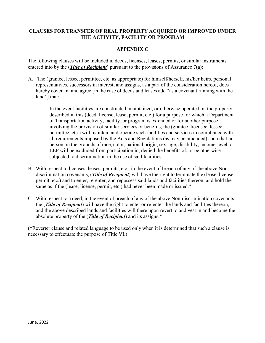### **CLAUSES FOR TRANSFER OF REAL PROPERTY ACQUIRED OR IMPROVED UNDER THE ACTIVITY, FACILITY OR PROGRAM**

### **APPENDIX C**

The following clauses will be included in deeds, licenses, leases, permits, or similar instruments entered into by the (*Title of Recipient*) pursuant to the provisions of Assurance 7(a):

- A. The (grantee, lessee, permittee, etc. as appropriate) for himself/herself, his/her heirs, personal representatives, successors in interest, and assigns, as a part of the consideration hereof, does hereby covenant and agree [in the case of deeds and leases add "as a covenant running with the land"] that:
	- 1. In the event facilities are constructed, maintained, or otherwise operated on the property described in this (deed, license, lease, permit, etc.) for a purpose for which a Department of Transportation activity, facility, or program is extended or for another purpose involving the provision of similar services or benefits, the (grantee, licensee, lessee, permittee, etc.) will maintain and operate such facilities and services in compliance with all requirements imposed by the Acts and Regulations (as may be amended) such that no person on the grounds of race, color, national origin, sex, age, disability, income-level, or LEP will be excluded from participation in, denied the benefits of, or be otherwise subjected to discrimination in the use of said facilities.
- B. With respect to licenses, leases, permits, etc., in the event of breach of any of the above Nondiscrimination covenants, (*Title of Recipient*) will have the right to terminate the (lease, license, permit, etc.) and to enter, re-enter, and repossess said lands and facilities thereon, and hold the same as if the (lease, license, permit, etc.) had never been made or issued.\*
- C. With respect to a deed, in the event of breach of any of the above Non-discrimination covenants, the (*Title of Recipient*) will have the right to enter or re-enter the lands and facilities thereon, and the above described lands and facilities will there upon revert to and vest in and become the absolute property of the (*Title of Recipient*) and its assigns.\*

(\*Reverter clause and related language to be used only when it is determined that such a clause is necessary to effectuate the purpose of Title VI.)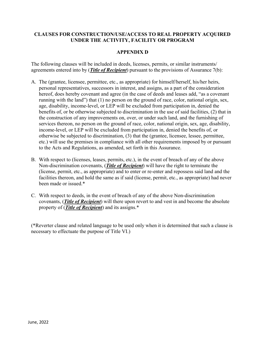### **CLAUSES FOR CONSTRUCTION/USE/ACCESS TO REAL PROPERTY ACQUIRED UNDER THE ACTIVITY, FACILITY OR PROGRAM**

### **APPENDIX D**

The following clauses will be included in deeds, licenses, permits, or similar instruments/ agreements entered into by (*Title of Recipient*) pursuant to the provisions of Assurance 7(b):

- A. The (grantee, licensee, permittee, etc., as appropriate) for himself/herself, his/her heirs, personal representatives, successors in interest, and assigns, as a part of the consideration hereof, does hereby covenant and agree (in the case of deeds and leases add, "as a covenant running with the land") that (1) no person on the ground of race, color, national origin, sex, age, disability, income-level, or LEP will be excluded from participation in, denied the benefits of, or be otherwise subjected to discrimination in the use of said facilities, (2) that in the construction of any improvements on, over, or under such land, and the furnishing of services thereon, no person on the ground of race, color, national origin, sex, age, disability, income-level, or LEP will be excluded from participation in, denied the benefits of, or otherwise be subjected to discrimination, (3) that the (grantee, licensee, lessee, permittee, etc.) will use the premises in compliance with all other requirements imposed by or pursuant to the Acts and Regulations, as amended, set forth in this Assurance.
- B. With respect to (licenses, leases, permits, etc.), in the event of breach of any of the above Non-discrimination covenants, (*Title of Recipient*) will have the right to terminate the (license, permit, etc., as appropriate) and to enter or re-enter and repossess said land and the facilities thereon, and hold the same as if said (license, permit, etc., as appropriate) had never been made or issued.\*
- C. With respect to deeds, in the event of breach of any of the above Non-discrimination covenants, (*Title of Recipient*) will there upon revert to and vest in and become the absolute property of (*Title of Recipient*) and its assigns.\*

(\*Reverter clause and related language to be used only when it is determined that such a clause is necessary to effectuate the purpose of Title VI.)